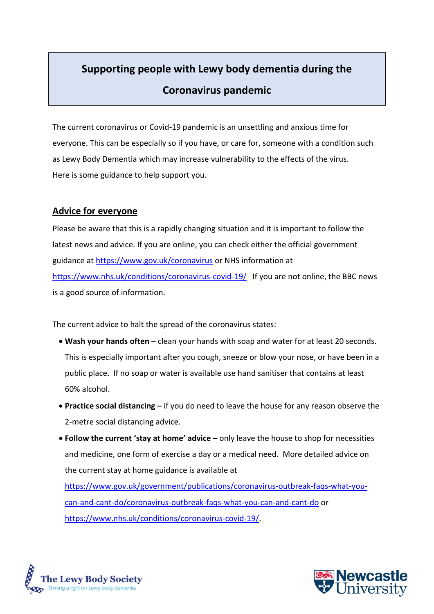# **Supporting people with Lewy body dementia during the Coronavirus pandemic**

The current coronavirus or Covid-19 pandemic is an unsettling and anxious time for everyone. This can be especially so if you have, or care for, someone with a condition such as Lewy Body Dementia which may increase vulnerability to the effects of the virus. Here is some guidance to help support you.

## **Advice for everyone**

Please be aware that this is a rapidly changing situation and it is important to follow the latest news and advice. If you are online, you can check either the official government guidance at<https://www.gov.uk/coronavirus> or NHS information at <https://www.nhs.uk/conditions/coronavirus-covid-19/> If you are not online, the BBC news is a good source of information.

The current advice to halt the spread of the coronavirus states:

- **Wash your hands often** clean your hands with soap and water for at least 20 seconds. This is especially important after you cough, sneeze or blow your nose, or have been in a public place. If no soap or water is available use hand sanitiser that contains at least 60% alcohol.
- **Practice social distancing –** if you do need to leave the house for any reason observe the 2-metre social distancing advice.
- **Follow the current 'stay at home' advice –** only leave the house to shop for necessities and medicine, one form of exercise a day or a medical need. More detailed advice on the current stay at home guidance is available at

[https://www.gov.uk/government/publications/coronavirus-outbreak-faqs-what-you](https://www.gov.uk/government/publications/coronavirus-outbreak-faqs-what-you-can-and-cant-do/coronavirus-outbreak-faqs-what-you-can-and-cant-do)[can-and-cant-do/coronavirus-outbreak-faqs-what-you-can-and-cant-do](https://www.gov.uk/government/publications/coronavirus-outbreak-faqs-what-you-can-and-cant-do/coronavirus-outbreak-faqs-what-you-can-and-cant-do) or [https://www.nhs.uk/conditions/coronavirus-covid-19/.](https://www.nhs.uk/conditions/coronavirus-covid-19/)



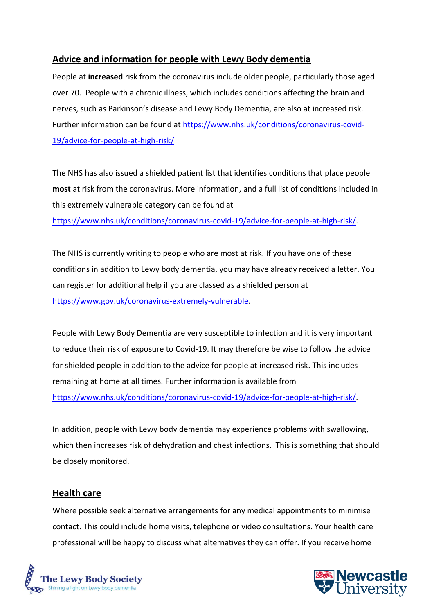# **Advice and information for people with Lewy Body dementia**

People at **increased** risk from the coronavirus include older people, particularly those aged over 70. People with a chronic illness, which includes conditions affecting the brain and nerves, such as Parkinson's disease and Lewy Body Dementia, are also at increased risk. Further information can be found at [https://www.nhs.uk/conditions/coronavirus-covid-](https://www.nhs.uk/conditions/coronavirus-covid-19/advice-for-people-at-high-risk/)[19/advice-for-people-at-high-risk/](https://www.nhs.uk/conditions/coronavirus-covid-19/advice-for-people-at-high-risk/)

The NHS has also issued a shielded patient list that identifies conditions that place people **most** at risk from the coronavirus. More information, and a full list of conditions included in this extremely vulnerable category can be found at

[https://www.nhs.uk/conditions/coronavirus-covid-19/advice-for-people-at-high-risk/.](https://www.nhs.uk/conditions/coronavirus-covid-19/advice-for-people-at-high-risk/)

The NHS is currently writing to people who are most at risk. If you have one of these conditions in addition to Lewy body dementia, you may have already received a letter. You can register for additional help if you are classed as a shielded person at [https://www.gov.uk/coronavirus-extremely-vulnerable.](https://www.gov.uk/coronavirus-extremely-vulnerable)

People with Lewy Body Dementia are very susceptible to infection and it is very important to reduce their risk of exposure to Covid-19. It may therefore be wise to follow the advice for shielded people in addition to the advice for people at increased risk. This includes remaining at home at all times. Further information is available from [https://www.nhs.uk/conditions/coronavirus-covid-19/advice-for-people-at-high-risk/.](https://www.nhs.uk/conditions/coronavirus-covid-19/advice-for-people-at-high-risk/)

In addition, people with Lewy body dementia may experience problems with swallowing, which then increases risk of dehydration and chest infections. This is something that should be closely monitored.

#### **Health care**

Where possible seek alternative arrangements for any medical appointments to minimise contact. This could include home visits, telephone or video consultations. Your health care professional will be happy to discuss what alternatives they can offer. If you receive home



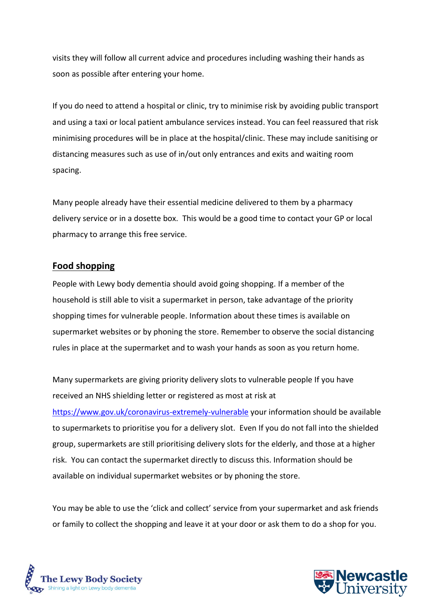visits they will follow all current advice and procedures including washing their hands as soon as possible after entering your home.

If you do need to attend a hospital or clinic, try to minimise risk by avoiding public transport and using a taxi or local patient ambulance services instead. You can feel reassured that risk minimising procedures will be in place at the hospital/clinic. These may include sanitising or distancing measures such as use of in/out only entrances and exits and waiting room spacing.

Many people already have their essential medicine delivered to them by a pharmacy delivery service or in a dosette box. This would be a good time to contact your GP or local pharmacy to arrange this free service.

#### **Food shopping**

People with Lewy body dementia should avoid going shopping. If a member of the household is still able to visit a supermarket in person, take advantage of the priority shopping times for vulnerable people. Information about these times is available on supermarket websites or by phoning the store. Remember to observe the social distancing rules in place at the supermarket and to wash your hands as soon as you return home.

Many supermarkets are giving priority delivery slots to vulnerable people If you have received an NHS shielding letter or registered as most at risk at <https://www.gov.uk/coronavirus-extremely-vulnerable> your information should be available to supermarkets to prioritise you for a delivery slot. Even If you do not fall into the shielded group, supermarkets are still prioritising delivery slots for the elderly, and those at a higher risk. You can contact the supermarket directly to discuss this. Information should be available on individual supermarket websites or by phoning the store.

You may be able to use the 'click and collect' service from your supermarket and ask friends or family to collect the shopping and leave it at your door or ask them to do a shop for you.



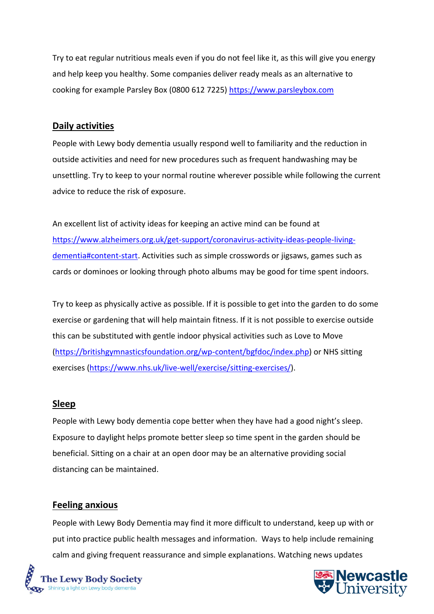Try to eat regular nutritious meals even if you do not feel like it, as this will give you energy and help keep you healthy. Some companies deliver ready meals as an alternative to cooking for example Parsley Box (0800 612 7225) https://www.parsleybox.com

#### **Daily activities**

People with Lewy body dementia usually respond well to familiarity and the reduction in outside activities and need for new procedures such as frequent handwashing may be unsettling. Try to keep to your normal routine wherever possible while following the current advice to reduce the risk of exposure.

An excellent list of activity ideas for keeping an active mind can be found at [https://www.alzheimers.org.uk/get-support/coronavirus-activity-ideas-people-living](https://www.alzheimers.org.uk/get-support/coronavirus-activity-ideas-people-living-dementia#content-start)[dementia#content-start.](https://www.alzheimers.org.uk/get-support/coronavirus-activity-ideas-people-living-dementia#content-start) Activities such as simple crosswords or jigsaws, games such as cards or dominoes or looking through photo albums may be good for time spent indoors.

Try to keep as physically active as possible. If it is possible to get into the garden to do some exercise or gardening that will help maintain fitness. If it is not possible to exercise outside this can be substituted with gentle indoor physical activities such as Love to Move [\(https://britishgymnasticsfoundation.org/wp-content/bgfdoc/index.php\)](https://britishgymnasticsfoundation.org/wp-content/bgfdoc/index.php) or NHS sitting exercises [\(https://www.nhs.uk/live-well/exercise/sitting-exercises/\)](https://www.nhs.uk/live-well/exercise/sitting-exercises/).

#### **Sleep**

People with Lewy body dementia cope better when they have had a good night's sleep. Exposure to daylight helps promote better sleep so time spent in the garden should be beneficial. Sitting on a chair at an open door may be an alternative providing social distancing can be maintained.

#### **Feeling anxious**

People with Lewy Body Dementia may find it more difficult to understand, keep up with or put into practice public health messages and information. Ways to help include remaining calm and giving frequent reassurance and simple explanations. Watching news updates



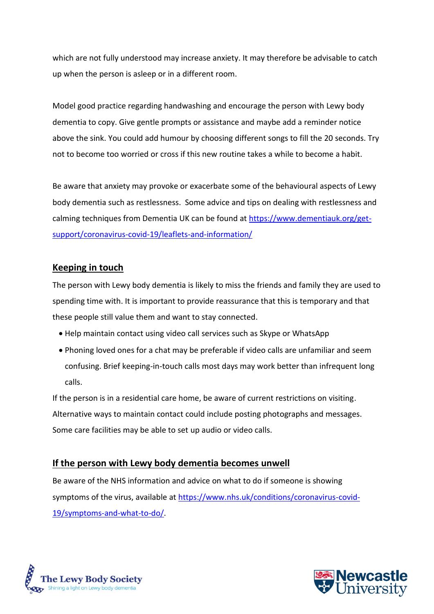which are not fully understood may increase anxiety. It may therefore be advisable to catch up when the person is asleep or in a different room.

Model good practice regarding handwashing and encourage the person with Lewy body dementia to copy. Give gentle prompts or assistance and maybe add a reminder notice above the sink. You could add humour by choosing different songs to fill the 20 seconds. Try not to become too worried or cross if this new routine takes a while to become a habit.

Be aware that anxiety may provoke or exacerbate some of the behavioural aspects of Lewy body dementia such as restlessness. Some advice and tips on dealing with restlessness and calming techniques from Dementia UK can be found at [https://www.dementiauk.org/get](https://www.dementiauk.org/get-support/coronavirus-covid-19/leaflets-and-information/)[support/coronavirus-covid-19/leaflets-and-information/](https://www.dementiauk.org/get-support/coronavirus-covid-19/leaflets-and-information/)

# **Keeping in touch**

The person with Lewy body dementia is likely to miss the friends and family they are used to spending time with. It is important to provide reassurance that this is temporary and that these people still value them and want to stay connected.

- Help maintain contact using video call services such as Skype or WhatsApp
- Phoning loved ones for a chat may be preferable if video calls are unfamiliar and seem confusing. Brief keeping-in-touch calls most days may work better than infrequent long calls.

If the person is in a residential care home, be aware of current restrictions on visiting. Alternative ways to maintain contact could include posting photographs and messages. Some care facilities may be able to set up audio or video calls.

#### **If the person with Lewy body dementia becomes unwell**

Be aware of the NHS information and advice on what to do if someone is showing symptoms of the virus, available at [https://www.nhs.uk/conditions/coronavirus-covid-](https://www.nhs.uk/conditions/coronavirus-covid-19/symptoms-and-what-to-do/)[19/symptoms-and-what-to-do/.](https://www.nhs.uk/conditions/coronavirus-covid-19/symptoms-and-what-to-do/)



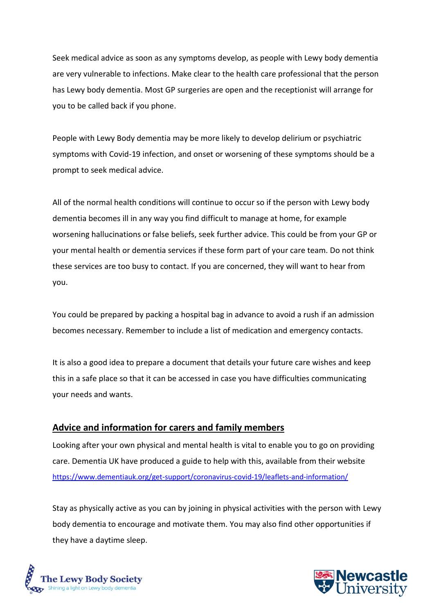Seek medical advice as soon as any symptoms develop, as people with Lewy body dementia are very vulnerable to infections. Make clear to the health care professional that the person has Lewy body dementia. Most GP surgeries are open and the receptionist will arrange for you to be called back if you phone.

People with Lewy Body dementia may be more likely to develop delirium or psychiatric symptoms with Covid-19 infection, and onset or worsening of these symptoms should be a prompt to seek medical advice.

All of the normal health conditions will continue to occur so if the person with Lewy body dementia becomes ill in any way you find difficult to manage at home, for example worsening hallucinations or false beliefs, seek further advice. This could be from your GP or your mental health or dementia services if these form part of your care team. Do not think these services are too busy to contact. If you are concerned, they will want to hear from you.

You could be prepared by packing a hospital bag in advance to avoid a rush if an admission becomes necessary. Remember to include a list of medication and emergency contacts.

It is also a good idea to prepare a document that details your future care wishes and keep this in a safe place so that it can be accessed in case you have difficulties communicating your needs and wants.

#### **Advice and information for carers and family members**

Looking after your own physical and mental health is vital to enable you to go on providing care. Dementia UK have produced a guide to help with this, available from their website <https://www.dementiauk.org/get-support/coronavirus-covid-19/leaflets-and-information/>

Stay as physically active as you can by joining in physical activities with the person with Lewy body dementia to encourage and motivate them. You may also find other opportunities if they have a daytime sleep.



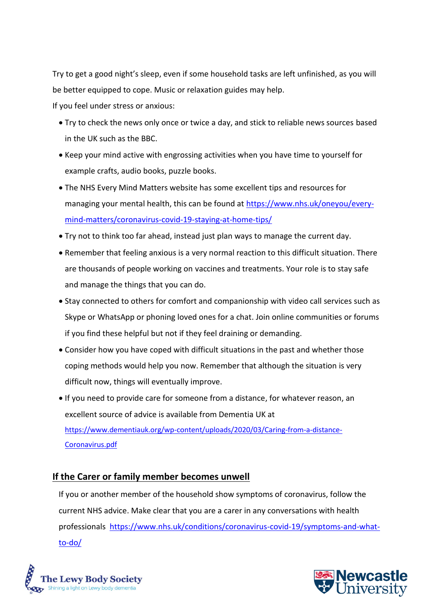Try to get a good night's sleep, even if some household tasks are left unfinished, as you will be better equipped to cope. Music or relaxation guides may help.

If you feel under stress or anxious:

- Try to check the news only once or twice a day, and stick to reliable news sources based in the UK such as the BBC.
- Keep your mind active with engrossing activities when you have time to yourself for example crafts, audio books, puzzle books.
- The NHS Every Mind Matters website has some excellent tips and resources for managing your mental health, this can be found at [https://www.nhs.uk/oneyou/every](https://www.nhs.uk/oneyou/every-mind-matters/coronavirus-covid-19-staying-at-home-tips/)[mind-matters/coronavirus-covid-19-staying-at-home-tips/](https://www.nhs.uk/oneyou/every-mind-matters/coronavirus-covid-19-staying-at-home-tips/)
- Try not to think too far ahead, instead just plan ways to manage the current day.
- Remember that feeling anxious is a very normal reaction to this difficult situation. There are thousands of people working on vaccines and treatments. Your role is to stay safe and manage the things that you can do.
- Stay connected to others for comfort and companionship with video call services such as Skype or WhatsApp or phoning loved ones for a chat. Join online communities or forums if you find these helpful but not if they feel draining or demanding.
- Consider how you have coped with difficult situations in the past and whether those coping methods would help you now. Remember that although the situation is very difficult now, things will eventually improve.
- If you need to provide care for someone from a distance, for whatever reason, an excellent source of advice is available from Dementia UK at [https://www.dementiauk.org/wp-content/uploads/2020/03/Caring-from-a-distance-](https://www.dementiauk.org/wp-content/uploads/2020/03/Caring-from-a-distance-Coronavirus.pdf)[Coronavirus.pdf](https://www.dementiauk.org/wp-content/uploads/2020/03/Caring-from-a-distance-Coronavirus.pdf)

# **If the Carer or family member becomes unwell**

If you or another member of the household show symptoms of coronavirus, follow the current NHS advice. Make clear that you are a carer in any conversations with health professionals [https://www.nhs.uk/conditions/coronavirus-covid-19/symptoms-and-what](https://www.nhs.uk/conditions/coronavirus-covid-19/symptoms-and-what-to-do/)[to-do/](https://www.nhs.uk/conditions/coronavirus-covid-19/symptoms-and-what-to-do/)